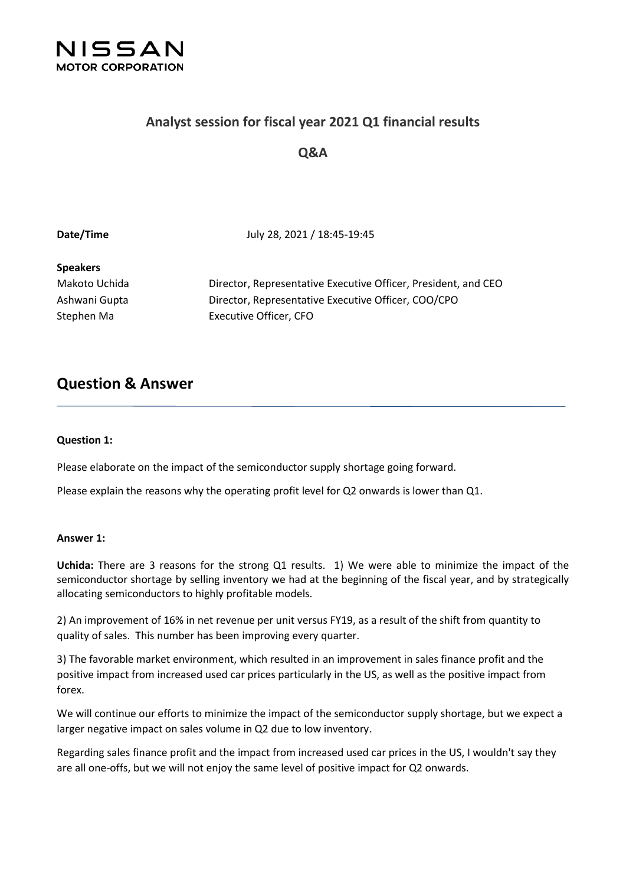

### **Analyst session for fiscal year 2021 Q1 financial results**

### **Q&A**

**Date/Time** July 28, 2021 / 18:45-19:45

### **Speakers**

Makoto Uchida Director, Representative Executive Officer, President, and CEO Ashwani Gupta Director, Representative Executive Officer, COO/CPO Stephen Ma Executive Officer, CFO

## **Question & Answer**

#### **Question 1:**

Please elaborate on the impact of the semiconductor supply shortage going forward.

Please explain the reasons why the operating profit level for Q2 onwards is lower than Q1.

#### **Answer 1:**

**Uchida:** There are 3 reasons for the strong Q1 results. 1) We were able to minimize the impact of the semiconductor shortage by selling inventory we had at the beginning of the fiscal year, and by strategically allocating semiconductors to highly profitable models.

2) An improvement of 16% in net revenue per unit versus FY19, as a result of the shift from quantity to quality of sales. This number has been improving every quarter.

3) The favorable market environment, which resulted in an improvement in sales finance profit and the positive impact from increased used car prices particularly in the US, as well as the positive impact from forex.

We will continue our efforts to minimize the impact of the semiconductor supply shortage, but we expect a larger negative impact on sales volume in Q2 due to low inventory.

Regarding sales finance profit and the impact from increased used car prices in the US, I wouldn't say they are all one-offs, but we will not enjoy the same level of positive impact for Q2 onwards.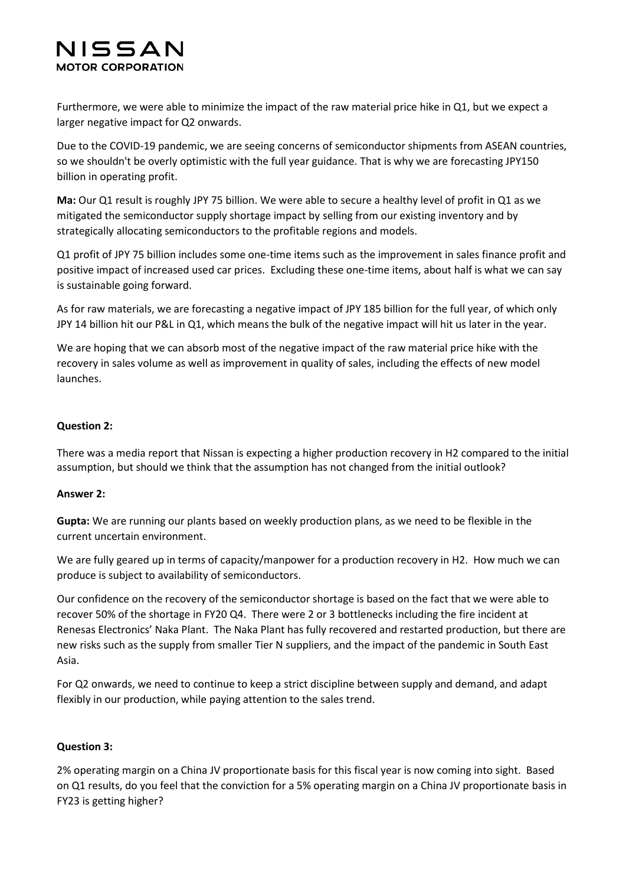Furthermore, we were able to minimize the impact of the raw material price hike in Q1, but we expect a larger negative impact for Q2 onwards.

Due to the COVID-19 pandemic, we are seeing concerns of semiconductor shipments from ASEAN countries, so we shouldn't be overly optimistic with the full year guidance. That is why we are forecasting JPY150 billion in operating profit.

**Ma:** Our Q1 result is roughly JPY 75 billion. We were able to secure a healthy level of profit in Q1 as we mitigated the semiconductor supply shortage impact by selling from our existing inventory and by strategically allocating semiconductors to the profitable regions and models.

Q1 profit of JPY 75 billion includes some one-time items such as the improvement in sales finance profit and positive impact of increased used car prices. Excluding these one-time items, about half is what we can say is sustainable going forward.

As for raw materials, we are forecasting a negative impact of JPY 185 billion for the full year, of which only JPY 14 billion hit our P&L in Q1, which means the bulk of the negative impact will hit us later in the year.

We are hoping that we can absorb most of the negative impact of the raw material price hike with the recovery in sales volume as well as improvement in quality of sales, including the effects of new model launches.

#### **Question 2:**

There was a media report that Nissan is expecting a higher production recovery in H2 compared to the initial assumption, but should we think that the assumption has not changed from the initial outlook?

#### **Answer 2:**

**Gupta:** We are running our plants based on weekly production plans, as we need to be flexible in the current uncertain environment.

We are fully geared up in terms of capacity/manpower for a production recovery in H2. How much we can produce is subject to availability of semiconductors.

Our confidence on the recovery of the semiconductor shortage is based on the fact that we were able to recover 50% of the shortage in FY20 Q4. There were 2 or 3 bottlenecks including the fire incident at Renesas Electronics' Naka Plant. The Naka Plant has fully recovered and restarted production, but there are new risks such as the supply from smaller Tier N suppliers, and the impact of the pandemic in South East Asia.

For Q2 onwards, we need to continue to keep a strict discipline between supply and demand, and adapt flexibly in our production, while paying attention to the sales trend.

#### **Question 3:**

2% operating margin on a China JV proportionate basis for this fiscal year is now coming into sight. Based on Q1 results, do you feel that the conviction for a 5% operating margin on a China JV proportionate basis in FY23 is getting higher?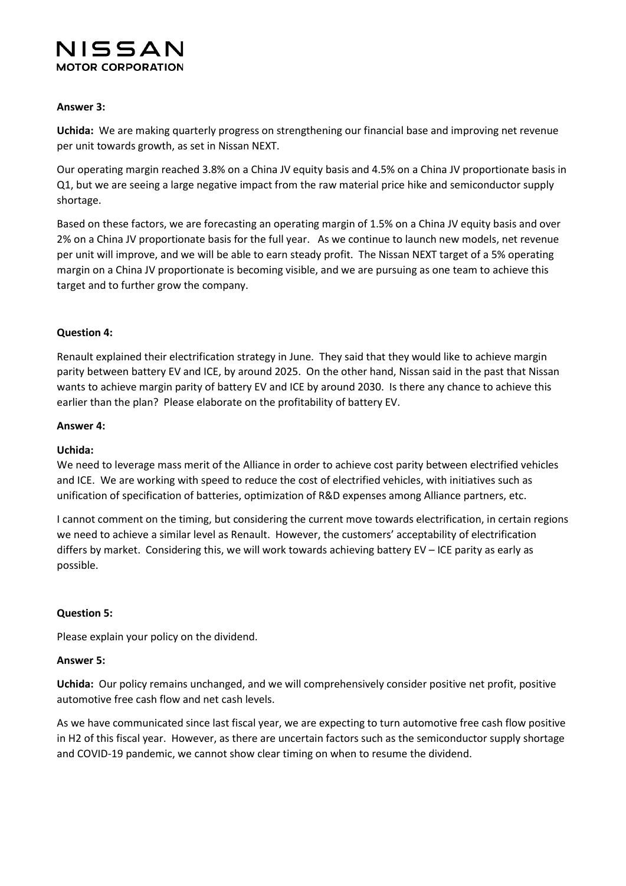#### **Answer 3:**

**Uchida:** We are making quarterly progress on strengthening our financial base and improving net revenue per unit towards growth, as set in Nissan NEXT.

Our operating margin reached 3.8% on a China JV equity basis and 4.5% on a China JV proportionate basis in Q1, but we are seeing a large negative impact from the raw material price hike and semiconductor supply shortage.

Based on these factors, we are forecasting an operating margin of 1.5% on a China JV equity basis and over 2% on a China JV proportionate basis for the full year. As we continue to launch new models, net revenue per unit will improve, and we will be able to earn steady profit. The Nissan NEXT target of a 5% operating margin on a China JV proportionate is becoming visible, and we are pursuing as one team to achieve this target and to further grow the company.

#### **Question 4:**

Renault explained their electrification strategy in June. They said that they would like to achieve margin parity between battery EV and ICE, by around 2025. On the other hand, Nissan said in the past that Nissan wants to achieve margin parity of battery EV and ICE by around 2030. Is there any chance to achieve this earlier than the plan? Please elaborate on the profitability of battery EV.

#### **Answer 4:**

#### **Uchida:**

We need to leverage mass merit of the Alliance in order to achieve cost parity between electrified vehicles and ICE. We are working with speed to reduce the cost of electrified vehicles, with initiatives such as unification of specification of batteries, optimization of R&D expenses among Alliance partners, etc.

I cannot comment on the timing, but considering the current move towards electrification, in certain regions we need to achieve a similar level as Renault. However, the customers' acceptability of electrification differs by market. Considering this, we will work towards achieving battery EV – ICE parity as early as possible.

#### **Question 5:**

Please explain your policy on the dividend.

#### **Answer 5:**

**Uchida:** Our policy remains unchanged, and we will comprehensively consider positive net profit, positive automotive free cash flow and net cash levels.

As we have communicated since last fiscal year, we are expecting to turn automotive free cash flow positive in H2 of this fiscal year. However, as there are uncertain factors such as the semiconductor supply shortage and COVID-19 pandemic, we cannot show clear timing on when to resume the dividend.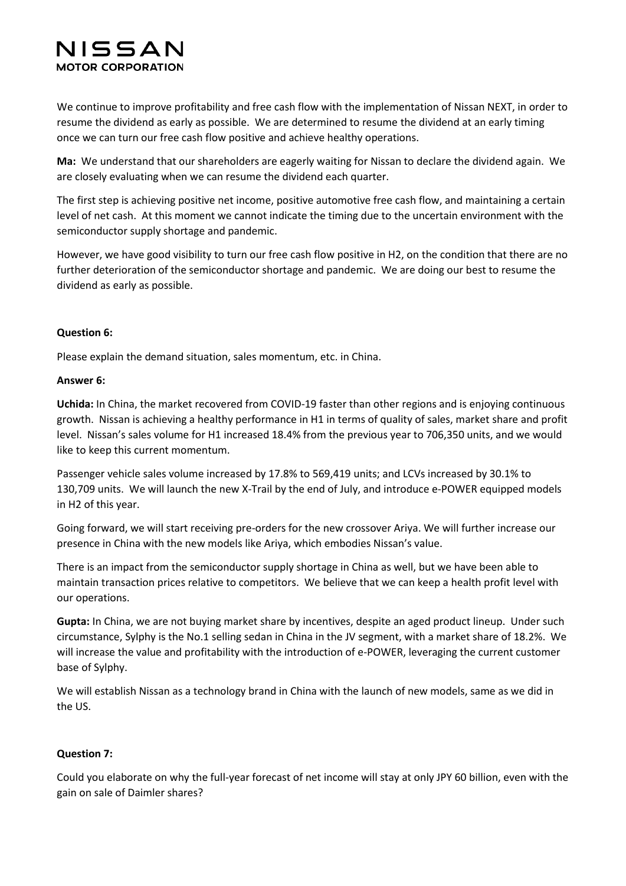We continue to improve profitability and free cash flow with the implementation of Nissan NEXT, in order to resume the dividend as early as possible. We are determined to resume the dividend at an early timing once we can turn our free cash flow positive and achieve healthy operations.

**Ma:** We understand that our shareholders are eagerly waiting for Nissan to declare the dividend again. We are closely evaluating when we can resume the dividend each quarter.

The first step is achieving positive net income, positive automotive free cash flow, and maintaining a certain level of net cash. At this moment we cannot indicate the timing due to the uncertain environment with the semiconductor supply shortage and pandemic.

However, we have good visibility to turn our free cash flow positive in H2, on the condition that there are no further deterioration of the semiconductor shortage and pandemic. We are doing our best to resume the dividend as early as possible.

#### **Question 6:**

Please explain the demand situation, sales momentum, etc. in China.

#### **Answer 6:**

**Uchida:** In China, the market recovered from COVID-19 faster than other regions and is enjoying continuous growth. Nissan is achieving a healthy performance in H1 in terms of quality of sales, market share and profit level. Nissan's sales volume for H1 increased 18.4% from the previous year to 706,350 units, and we would like to keep this current momentum.

Passenger vehicle sales volume increased by 17.8% to 569,419 units; and LCVs increased by 30.1% to 130,709 units. We will launch the new X-Trail by the end of July, and introduce e-POWER equipped models in H2 of this year.

Going forward, we will start receiving pre-orders for the new crossover Ariya. We will further increase our presence in China with the new models like Ariya, which embodies Nissan's value.

There is an impact from the semiconductor supply shortage in China as well, but we have been able to maintain transaction prices relative to competitors. We believe that we can keep a health profit level with our operations.

**Gupta:** In China, we are not buying market share by incentives, despite an aged product lineup. Under such circumstance, Sylphy is the No.1 selling sedan in China in the JV segment, with a market share of 18.2%. We will increase the value and profitability with the introduction of e-POWER, leveraging the current customer base of Sylphy.

We will establish Nissan as a technology brand in China with the launch of new models, same as we did in the US.

#### **Question 7:**

Could you elaborate on why the full-year forecast of net income will stay at only JPY 60 billion, even with the gain on sale of Daimler shares?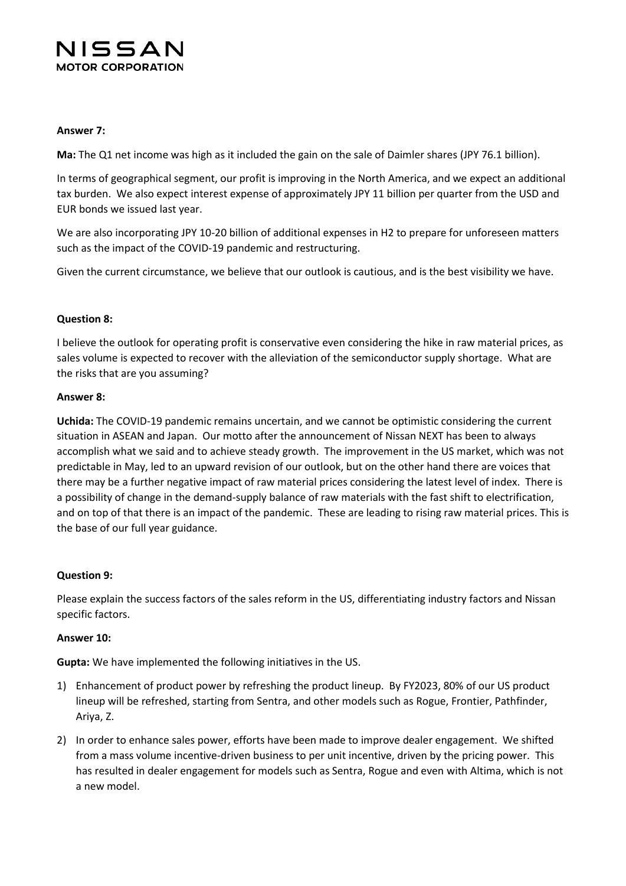

#### **Answer 7:**

**Ma:** The Q1 net income was high as it included the gain on the sale of Daimler shares (JPY 76.1 billion).

In terms of geographical segment, our profit is improving in the North America, and we expect an additional tax burden. We also expect interest expense of approximately JPY 11 billion per quarter from the USD and EUR bonds we issued last year.

We are also incorporating JPY 10-20 billion of additional expenses in H2 to prepare for unforeseen matters such as the impact of the COVID-19 pandemic and restructuring.

Given the current circumstance, we believe that our outlook is cautious, and is the best visibility we have.

#### **Question 8:**

I believe the outlook for operating profit is conservative even considering the hike in raw material prices, as sales volume is expected to recover with the alleviation of the semiconductor supply shortage. What are the risks that are you assuming?

#### **Answer 8:**

**Uchida:** The COVID-19 pandemic remains uncertain, and we cannot be optimistic considering the current situation in ASEAN and Japan. Our motto after the announcement of Nissan NEXT has been to always accomplish what we said and to achieve steady growth. The improvement in the US market, which was not predictable in May, led to an upward revision of our outlook, but on the other hand there are voices that there may be a further negative impact of raw material prices considering the latest level of index. There is a possibility of change in the demand-supply balance of raw materials with the fast shift to electrification, and on top of that there is an impact of the pandemic. These are leading to rising raw material prices. This is the base of our full year guidance.

#### **Question 9:**

Please explain the success factors of the sales reform in the US, differentiating industry factors and Nissan specific factors.

#### **Answer 10:**

**Gupta:** We have implemented the following initiatives in the US.

- 1) Enhancement of product power by refreshing the product lineup. By FY2023, 80% of our US product lineup will be refreshed, starting from Sentra, and other models such as Rogue, Frontier, Pathfinder, Ariya, Z.
- 2) In order to enhance sales power, efforts have been made to improve dealer engagement. We shifted from a mass volume incentive-driven business to per unit incentive, driven by the pricing power. This has resulted in dealer engagement for models such as Sentra, Rogue and even with Altima, which is not a new model.